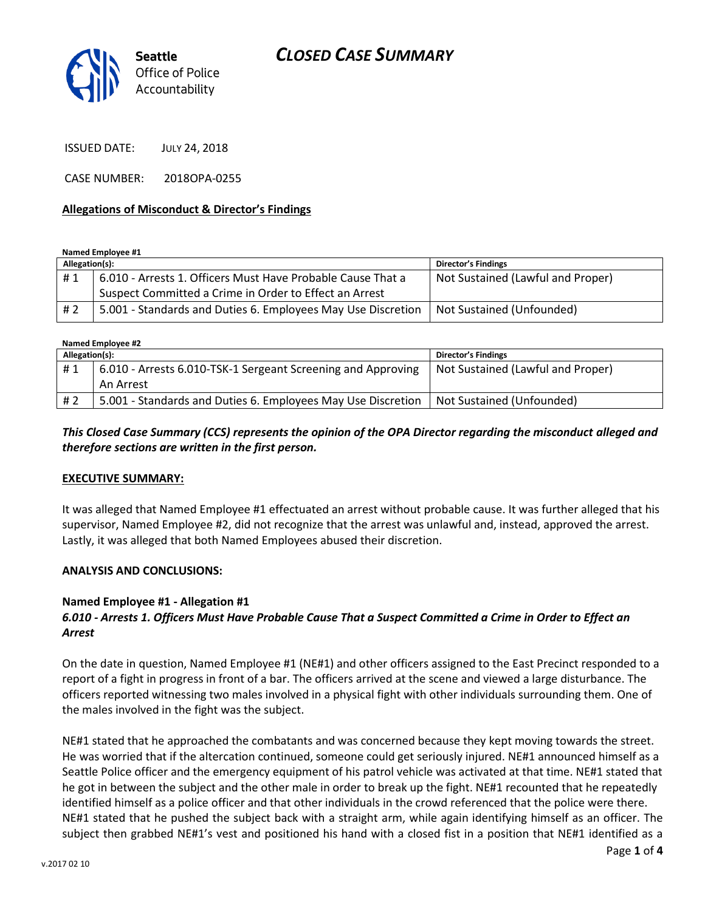

ISSUED DATE: JULY 24, 2018

CASE NUMBER: 2018OPA-0255

#### **Allegations of Misconduct & Director's Findings**

**Named Employee #1**

| Allegation(s): |                                                              | <b>Director's Findings</b>        |
|----------------|--------------------------------------------------------------|-----------------------------------|
| #1             | 6.010 - Arrests 1. Officers Must Have Probable Cause That a  | Not Sustained (Lawful and Proper) |
|                | Suspect Committed a Crime in Order to Effect an Arrest       |                                   |
| # 2            | 5.001 - Standards and Duties 6. Employees May Use Discretion | Not Sustained (Unfounded)         |

| Named Employee #2 |                                                              |                                   |  |
|-------------------|--------------------------------------------------------------|-----------------------------------|--|
| Allegation(s):    |                                                              | <b>Director's Findings</b>        |  |
| #1                | 6.010 - Arrests 6.010-TSK-1 Sergeant Screening and Approving | Not Sustained (Lawful and Proper) |  |
|                   | An Arrest                                                    |                                   |  |
| # 2               | 5.001 - Standards and Duties 6. Employees May Use Discretion | Not Sustained (Unfounded)         |  |

### *This Closed Case Summary (CCS) represents the opinion of the OPA Director regarding the misconduct alleged and therefore sections are written in the first person.*

### **EXECUTIVE SUMMARY:**

It was alleged that Named Employee #1 effectuated an arrest without probable cause. It was further alleged that his supervisor, Named Employee #2, did not recognize that the arrest was unlawful and, instead, approved the arrest. Lastly, it was alleged that both Named Employees abused their discretion.

### **ANALYSIS AND CONCLUSIONS:**

### **Named Employee #1 - Allegation #1**

## *6.010 - Arrests 1. Officers Must Have Probable Cause That a Suspect Committed a Crime in Order to Effect an Arrest*

On the date in question, Named Employee #1 (NE#1) and other officers assigned to the East Precinct responded to a report of a fight in progress in front of a bar. The officers arrived at the scene and viewed a large disturbance. The officers reported witnessing two males involved in a physical fight with other individuals surrounding them. One of the males involved in the fight was the subject.

NE#1 stated that he approached the combatants and was concerned because they kept moving towards the street. He was worried that if the altercation continued, someone could get seriously injured. NE#1 announced himself as a Seattle Police officer and the emergency equipment of his patrol vehicle was activated at that time. NE#1 stated that he got in between the subject and the other male in order to break up the fight. NE#1 recounted that he repeatedly identified himself as a police officer and that other individuals in the crowd referenced that the police were there. NE#1 stated that he pushed the subject back with a straight arm, while again identifying himself as an officer. The subject then grabbed NE#1's vest and positioned his hand with a closed fist in a position that NE#1 identified as a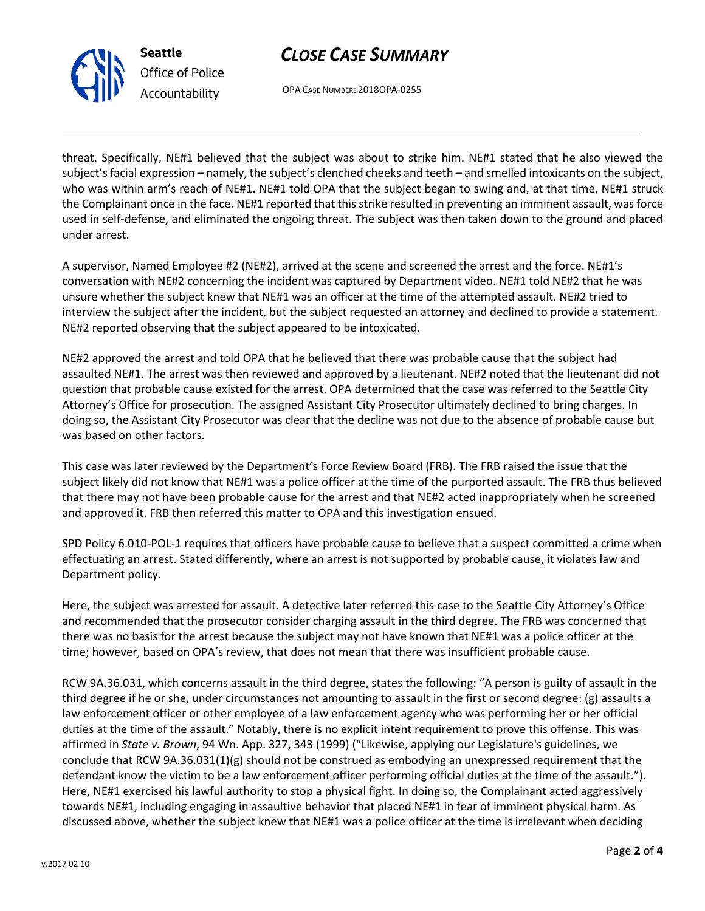



OPA CASE NUMBER: 2018OPA-0255

threat. Specifically, NE#1 believed that the subject was about to strike him. NE#1 stated that he also viewed the subject's facial expression – namely, the subject's clenched cheeks and teeth – and smelled intoxicants on the subject, who was within arm's reach of NE#1. NE#1 told OPA that the subject began to swing and, at that time, NE#1 struck the Complainant once in the face. NE#1 reported that this strike resulted in preventing an imminent assault, was force used in self-defense, and eliminated the ongoing threat. The subject was then taken down to the ground and placed under arrest.

A supervisor, Named Employee #2 (NE#2), arrived at the scene and screened the arrest and the force. NE#1's conversation with NE#2 concerning the incident was captured by Department video. NE#1 told NE#2 that he was unsure whether the subject knew that NE#1 was an officer at the time of the attempted assault. NE#2 tried to interview the subject after the incident, but the subject requested an attorney and declined to provide a statement. NE#2 reported observing that the subject appeared to be intoxicated.

NE#2 approved the arrest and told OPA that he believed that there was probable cause that the subject had assaulted NE#1. The arrest was then reviewed and approved by a lieutenant. NE#2 noted that the lieutenant did not question that probable cause existed for the arrest. OPA determined that the case was referred to the Seattle City Attorney's Office for prosecution. The assigned Assistant City Prosecutor ultimately declined to bring charges. In doing so, the Assistant City Prosecutor was clear that the decline was not due to the absence of probable cause but was based on other factors.

This case was later reviewed by the Department's Force Review Board (FRB). The FRB raised the issue that the subject likely did not know that NE#1 was a police officer at the time of the purported assault. The FRB thus believed that there may not have been probable cause for the arrest and that NE#2 acted inappropriately when he screened and approved it. FRB then referred this matter to OPA and this investigation ensued.

SPD Policy 6.010-POL-1 requires that officers have probable cause to believe that a suspect committed a crime when effectuating an arrest. Stated differently, where an arrest is not supported by probable cause, it violates law and Department policy.

Here, the subject was arrested for assault. A detective later referred this case to the Seattle City Attorney's Office and recommended that the prosecutor consider charging assault in the third degree. The FRB was concerned that there was no basis for the arrest because the subject may not have known that NE#1 was a police officer at the time; however, based on OPA's review, that does not mean that there was insufficient probable cause.

RCW 9A.36.031, which concerns assault in the third degree, states the following: "A person is guilty of assault in the third degree if he or she, under circumstances not amounting to assault in the first or second degree: (g) assaults a law enforcement officer or other employee of a law enforcement agency who was performing her or her official duties at the time of the assault." Notably, there is no explicit intent requirement to prove this offense. This was affirmed in *State v. Brown*, 94 Wn. App. 327, 343 (1999) ("Likewise, applying our Legislature's guidelines, we conclude that RCW 9A.36.031(1)(g) should not be construed as embodying an unexpressed requirement that the defendant know the victim to be a law enforcement officer performing official duties at the time of the assault."). Here, NE#1 exercised his lawful authority to stop a physical fight. In doing so, the Complainant acted aggressively towards NE#1, including engaging in assaultive behavior that placed NE#1 in fear of imminent physical harm. As discussed above, whether the subject knew that NE#1 was a police officer at the time is irrelevant when deciding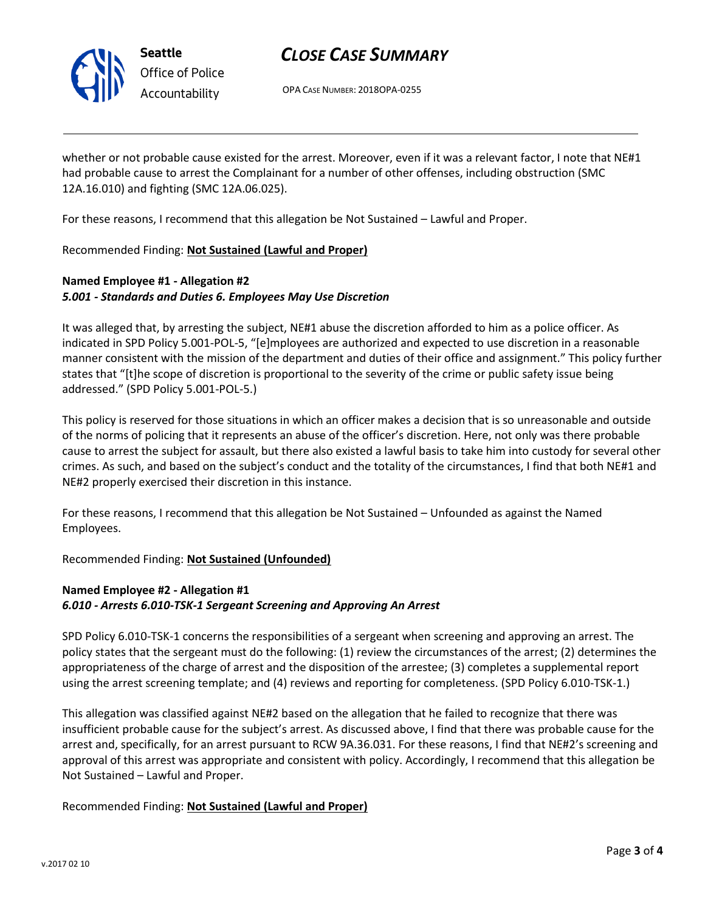

# *CLOSE CASE SUMMARY*

OPA CASE NUMBER: 2018OPA-0255

whether or not probable cause existed for the arrest. Moreover, even if it was a relevant factor, I note that NE#1 had probable cause to arrest the Complainant for a number of other offenses, including obstruction (SMC 12A.16.010) and fighting (SMC 12A.06.025).

For these reasons, I recommend that this allegation be Not Sustained – Lawful and Proper.

Recommended Finding: **Not Sustained (Lawful and Proper)** 

# **Named Employee #1 - Allegation #2**  *5.001 - Standards and Duties 6. Employees May Use Discretion*

It was alleged that, by arresting the subject, NE#1 abuse the discretion afforded to him as a police officer. As indicated in SPD Policy 5.001-POL-5, "[e]mployees are authorized and expected to use discretion in a reasonable manner consistent with the mission of the department and duties of their office and assignment." This policy further states that "[t]he scope of discretion is proportional to the severity of the crime or public safety issue being addressed." (SPD Policy 5.001-POL-5.)

This policy is reserved for those situations in which an officer makes a decision that is so unreasonable and outside of the norms of policing that it represents an abuse of the officer's discretion. Here, not only was there probable cause to arrest the subject for assault, but there also existed a lawful basis to take him into custody for several other crimes. As such, and based on the subject's conduct and the totality of the circumstances, I find that both NE#1 and NE#2 properly exercised their discretion in this instance.

For these reasons, I recommend that this allegation be Not Sustained – Unfounded as against the Named Employees.

Recommended Finding: **Not Sustained (Unfounded)**

## **Named Employee #2 - Allegation #1**  *6.010 - Arrests 6.010-TSK-1 Sergeant Screening and Approving An Arrest*

SPD Policy 6.010-TSK-1 concerns the responsibilities of a sergeant when screening and approving an arrest. The policy states that the sergeant must do the following: (1) review the circumstances of the arrest; (2) determines the appropriateness of the charge of arrest and the disposition of the arrestee; (3) completes a supplemental report using the arrest screening template; and (4) reviews and reporting for completeness. (SPD Policy 6.010-TSK-1.)

This allegation was classified against NE#2 based on the allegation that he failed to recognize that there was insufficient probable cause for the subject's arrest. As discussed above, I find that there was probable cause for the arrest and, specifically, for an arrest pursuant to RCW 9A.36.031. For these reasons, I find that NE#2's screening and approval of this arrest was appropriate and consistent with policy. Accordingly, I recommend that this allegation be Not Sustained – Lawful and Proper.

## Recommended Finding: **Not Sustained (Lawful and Proper)**